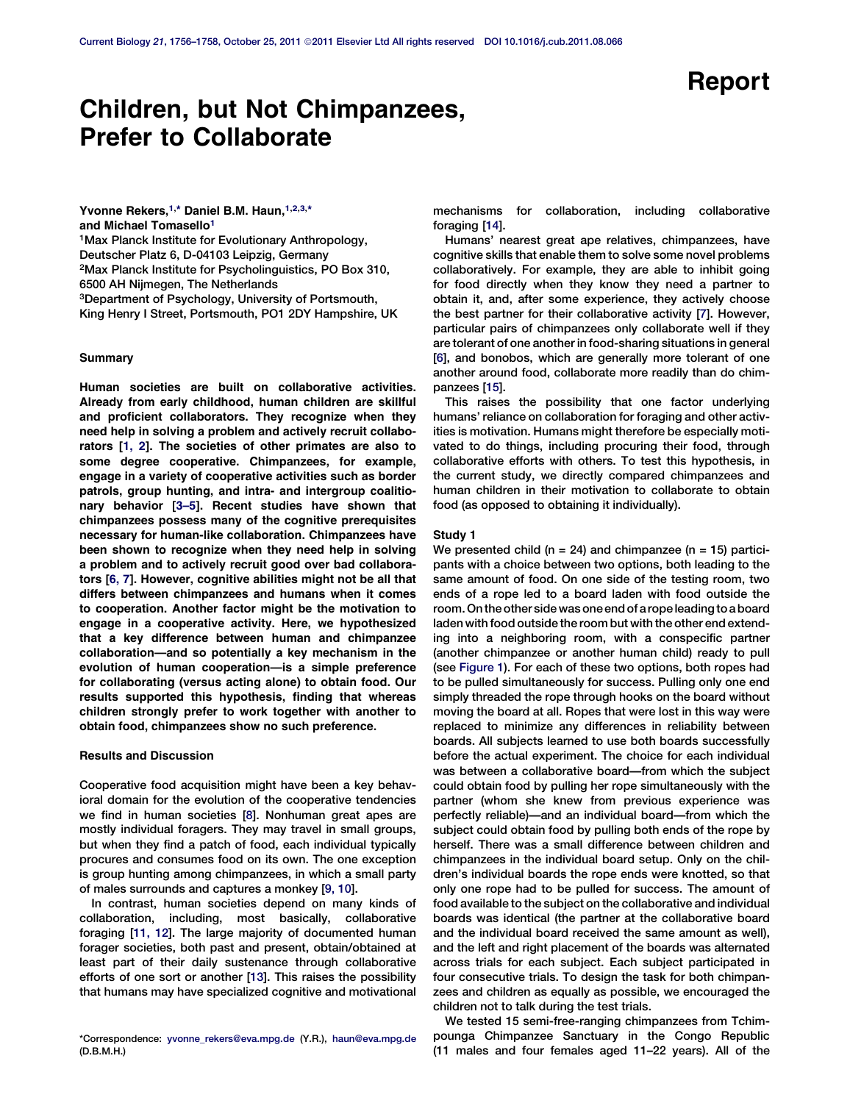# Children, but Not Chimpanzees, Prefer to Collaborate

# Yvonne Rekers,<sup>1,\*</sup> Daniel B.M. Haun,<sup>1,2,3,\*</sup> and Michael Tomasello<sup>1</sup> 1Max Planck Institute for Evolutionary Anthropology,

Deutscher Platz 6, D-04103 Leipzig, Germany 2Max Planck Institute for Psycholinguistics, PO Box 310, 6500 AH Nijmegen, The Netherlands 3Department of Psychology, University of Portsmouth, King Henry I Street, Portsmouth, PO1 2DY Hampshire, UK

## **Summary**

Human societies are built on collaborative activities. Already from early childhood, human children are skillful and proficient collaborators. They recognize when they need help in solving a problem and actively recruit collaborators [\[1, 2](#page-2-0)]. The societies of other primates are also to some degree cooperative. Chimpanzees, for example, engage in a variety of cooperative activities such as border patrols, group hunting, and intra- and intergroup coalitionary behavior [\[3–5](#page-2-0)]. Recent studies have shown that chimpanzees possess many of the cognitive prerequisites necessary for human-like collaboration. Chimpanzees have been shown to recognize when they need help in solving a problem and to actively recruit good over bad collaborators [[6, 7](#page-2-0)]. However, cognitive abilities might not be all that differs between chimpanzees and humans when it comes to cooperation. Another factor might be the motivation to engage in a cooperative activity. Here, we hypothesized that a key difference between human and chimpanzee collaboration—and so potentially a key mechanism in the evolution of human cooperation—is a simple preference for collaborating (versus acting alone) to obtain food. Our results supported this hypothesis, finding that whereas children strongly prefer to work together with another to obtain food, chimpanzees show no such preference.

# Results and Discussion

Cooperative food acquisition might have been a key behavioral domain for the evolution of the cooperative tendencies we find in human societies [[8](#page-2-0)]. Nonhuman great apes are mostly individual foragers. They may travel in small groups, but when they find a patch of food, each individual typically procures and consumes food on its own. The one exception is group hunting among chimpanzees, in which a small party of males surrounds and captures a monkey [[9, 10](#page-2-0)].

In contrast, human societies depend on many kinds of collaboration, including, most basically, collaborative foraging [[11, 12\]](#page-2-0). The large majority of documented human forager societies, both past and present, obtain/obtained at least part of their daily sustenance through collaborative efforts of one sort or another [[13](#page-2-0)]. This raises the possibility that humans may have specialized cognitive and motivational

\*Correspondence: [yvonne\\_rekers@eva.mpg.de](mailto:yvonne_rekers@eva.mpg.de) (Y.R.), [haun@eva.mpg.de](mailto:haun@eva.mpg.de) (D.B.M.H.)

mechanisms for collaboration, including collaborative foraging [[14](#page-2-0)].

Humans' nearest great ape relatives, chimpanzees, have cognitive skills that enable them to solve some novel problems collaboratively. For example, they are able to inhibit going for food directly when they know they need a partner to obtain it, and, after some experience, they actively choose the best partner for their collaborative activity [[7\]](#page-2-0). However, particular pairs of chimpanzees only collaborate well if they are tolerant of one another in food-sharing situations in general [[6\]](#page-2-0), and bonobos, which are generally more tolerant of one another around food, collaborate more readily than do chimpanzees [\[15](#page-2-0)].

This raises the possibility that one factor underlying humans' reliance on collaboration for foraging and other activities is motivation. Humans might therefore be especially motivated to do things, including procuring their food, through collaborative efforts with others. To test this hypothesis, in the current study, we directly compared chimpanzees and human children in their motivation to collaborate to obtain food (as opposed to obtaining it individually).

## Study 1

We presented child ( $n = 24$ ) and chimpanzee ( $n = 15$ ) participants with a choice between two options, both leading to the same amount of food. On one side of the testing room, two ends of a rope led to a board laden with food outside the room. On the other side was one end of a rope leading to a board laden with food outside the room but with the other end extending into a neighboring room, with a conspecific partner (another chimpanzee or another human child) ready to pull (see [Figure 1\)](#page-1-0). For each of these two options, both ropes had to be pulled simultaneously for success. Pulling only one end simply threaded the rope through hooks on the board without moving the board at all. Ropes that were lost in this way were replaced to minimize any differences in reliability between boards. All subjects learned to use both boards successfully before the actual experiment. The choice for each individual was between a collaborative board—from which the subject could obtain food by pulling her rope simultaneously with the partner (whom she knew from previous experience was perfectly reliable)—and an individual board—from which the subject could obtain food by pulling both ends of the rope by herself. There was a small difference between children and chimpanzees in the individual board setup. Only on the children's individual boards the rope ends were knotted, so that only one rope had to be pulled for success. The amount of food available to the subject on the collaborative and individual boards was identical (the partner at the collaborative board and the individual board received the same amount as well), and the left and right placement of the boards was alternated across trials for each subject. Each subject participated in four consecutive trials. To design the task for both chimpanzees and children as equally as possible, we encouraged the children not to talk during the test trials.

We tested 15 semi-free-ranging chimpanzees from Tchimpounga Chimpanzee Sanctuary in the Congo Republic (11 males and four females aged 11–22 years). All of the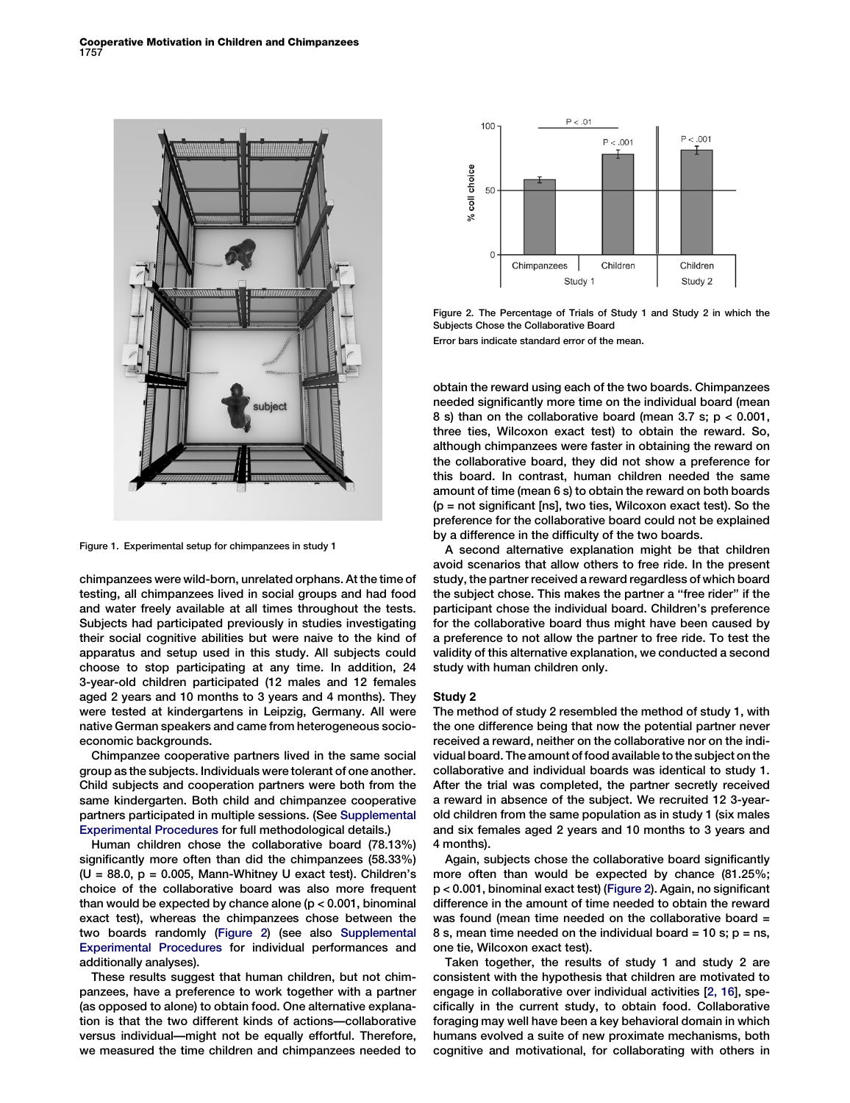<span id="page-1-0"></span>

Figure 1. Experimental setup for chimpanzees in study 1

chimpanzees were wild-born, unrelated orphans. At the time of testing, all chimpanzees lived in social groups and had food and water freely available at all times throughout the tests. Subjects had participated previously in studies investigating their social cognitive abilities but were naive to the kind of apparatus and setup used in this study. All subjects could choose to stop participating at any time. In addition, 24 3-year-old children participated (12 males and 12 females aged 2 years and 10 months to 3 years and 4 months). They were tested at kindergartens in Leipzig, Germany. All were native German speakers and came from heterogeneous socioeconomic backgrounds.

Chimpanzee cooperative partners lived in the same social group as the subjects. Individuals were tolerant of one another. Child subjects and cooperation partners were both from the same kindergarten. Both child and chimpanzee cooperative partners participated in multiple sessions. (See [Supplemental](#page-2-0) [Experimental Procedures](#page-2-0) for full methodological details.)

Human children chose the collaborative board (78.13%) significantly more often than did the chimpanzees (58.33%)  $(U = 88.0, p = 0.005, Mann-Whitney U exact test)$ . Children's choice of the collaborative board was also more frequent than would be expected by chance alone  $(p < 0.001$ , binominal exact test), whereas the chimpanzees chose between the two boards randomly (Figure 2) (see also [Supplemental](#page-2-0) [Experimental Procedures](#page-2-0) for individual performances and additionally analyses).

These results suggest that human children, but not chimpanzees, have a preference to work together with a partner (as opposed to alone) to obtain food. One alternative explanation is that the two different kinds of actions—collaborative versus individual—might not be equally effortful. Therefore, we measured the time children and chimpanzees needed to



Figure 2. The Percentage of Trials of Study 1 and Study 2 in which the Subjects Chose the Collaborative Board Error bars indicate standard error of the mean.

obtain the reward using each of the two boards. Chimpanzees needed significantly more time on the individual board (mean 8 s) than on the collaborative board (mean 3.7 s; p < 0.001, three ties, Wilcoxon exact test) to obtain the reward. So, although chimpanzees were faster in obtaining the reward on the collaborative board, they did not show a preference for this board. In contrast, human children needed the same amount of time (mean 6 s) to obtain the reward on both boards (p = not significant [ns], two ties, Wilcoxon exact test). So the preference for the collaborative board could not be explained by a difference in the difficulty of the two boards.

A second alternative explanation might be that children avoid scenarios that allow others to free ride. In the present study, the partner received a reward regardless of which board the subject chose. This makes the partner a ''free rider'' if the participant chose the individual board. Children's preference for the collaborative board thus might have been caused by a preference to not allow the partner to free ride. To test the validity of this alternative explanation, we conducted a second study with human children only.

# Study 2

The method of study 2 resembled the method of study 1, with the one difference being that now the potential partner never received a reward, neither on the collaborative nor on the individual board. The amount of food available to the subject on the collaborative and individual boards was identical to study 1. After the trial was completed, the partner secretly received a reward in absence of the subject. We recruited 12 3-yearold children from the same population as in study 1 (six males and six females aged 2 years and 10 months to 3 years and 4 months).

Again, subjects chose the collaborative board significantly more often than would be expected by chance (81.25%; p < 0.001, binominal exact test) (Figure 2). Again, no significant difference in the amount of time needed to obtain the reward was found (mean time needed on the collaborative board = 8 s, mean time needed on the individual board = 10 s;  $p = ns$ , one tie, Wilcoxon exact test).

Taken together, the results of study 1 and study 2 are consistent with the hypothesis that children are motivated to engage in collaborative over individual activities [\[2, 16](#page-2-0)], specifically in the current study, to obtain food. Collaborative foraging may well have been a key behavioral domain in which humans evolved a suite of new proximate mechanisms, both cognitive and motivational, for collaborating with others in